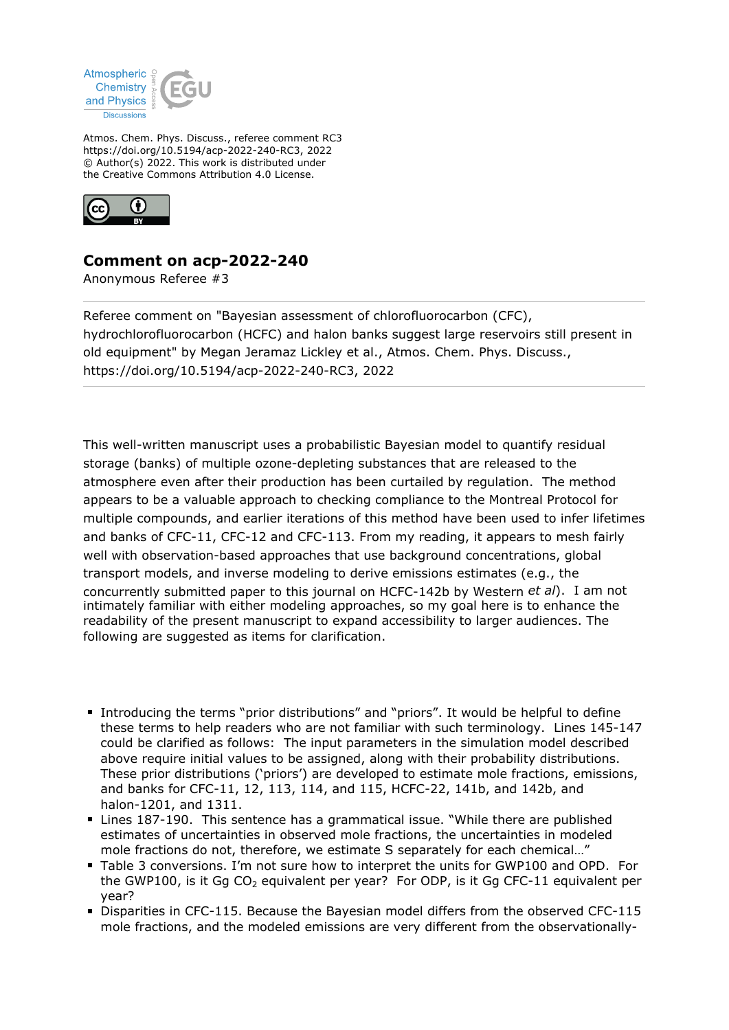

Atmos. Chem. Phys. Discuss., referee comment RC3 https://doi.org/10.5194/acp-2022-240-RC3, 2022 © Author(s) 2022. This work is distributed under the Creative Commons Attribution 4.0 License.



## **Comment on acp-2022-240**

Anonymous Referee #3

Referee comment on "Bayesian assessment of chlorofluorocarbon (CFC), hydrochlorofluorocarbon (HCFC) and halon banks suggest large reservoirs still present in old equipment" by Megan Jeramaz Lickley et al., Atmos. Chem. Phys. Discuss., https://doi.org/10.5194/acp-2022-240-RC3, 2022

This well-written manuscript uses a probabilistic Bayesian model to quantify residual storage (banks) of multiple ozone-depleting substances that are released to the atmosphere even after their production has been curtailed by regulation. The method appears to be a valuable approach to checking compliance to the Montreal Protocol for multiple compounds, and earlier iterations of this method have been used to infer lifetimes and banks of CFC-11, CFC-12 and CFC-113. From my reading, it appears to mesh fairly well with observation-based approaches that use background concentrations, global transport models, and inverse modeling to derive emissions estimates (e.g., the concurrently submitted paper to this journal on HCFC-142b by Western *et al*). I am not intimately familiar with either modeling approaches, so my goal here is to enhance the readability of the present manuscript to expand accessibility to larger audiences. The following are suggested as items for clarification.

- **Introducing the terms "prior distributions" and "priors". It would be helpful to define** these terms to help readers who are not familiar with such terminology. Lines 145-147 could be clarified as follows: The input parameters in the simulation model described above require initial values to be assigned, along with their probability distributions. These prior distributions ('priors') are developed to estimate mole fractions, emissions, and banks for CFC-11, 12, 113, 114, and 115, HCFC-22, 141b, and 142b, and halon-1201, and 1311.
- Lines 187-190. This sentence has a grammatical issue. "While there are published estimates of uncertainties in observed mole fractions, the uncertainties in modeled mole fractions do not, therefore, we estimate S separately for each chemical…"
- Table 3 conversions. I'm not sure how to interpret the units for GWP100 and OPD. For the GWP100, is it Gq  $CO<sub>2</sub>$  equivalent per year? For ODP, is it Gq CFC-11 equivalent per year?
- Disparities in CFC-115. Because the Bayesian model differs from the observed CFC-115 mole fractions, and the modeled emissions are very different from the observationally-